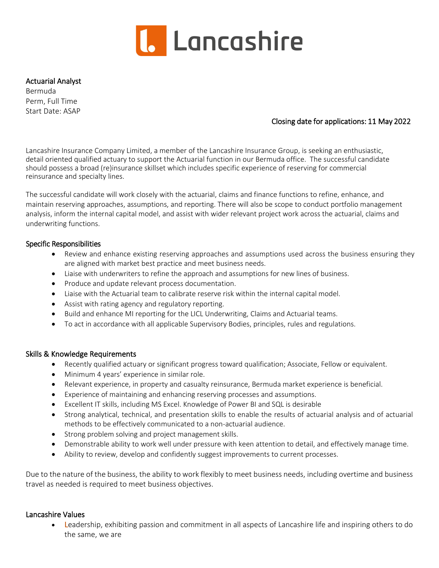

## Actuarial Analyst

Bermuda Perm, Full Time Start Date: ASAP

# Closing date for applications: 11 May 2022

Lancashire Insurance Company Limited, a member of the Lancashire Insurance Group, is seeking an enthusiastic, detail oriented qualified actuary to support the Actuarial function in our Bermuda office. The successful candidate should possess a broad (re)insurance skillset which includes specific experience of reserving for commercial reinsurance and specialty lines.

The successful candidate will work closely with the actuarial, claims and finance functions to refine, enhance, and maintain reserving approaches, assumptions, and reporting. There will also be scope to conduct portfolio management analysis, inform the internal capital model, and assist with wider relevant project work across the actuarial, claims and underwriting functions.

## Specific Responsibilities

- Review and enhance existing reserving approaches and assumptions used across the business ensuring they are aligned with market best practice and meet business needs.
- Liaise with underwriters to refine the approach and assumptions for new lines of business.
- Produce and update relevant process documentation.
- Liaise with the Actuarial team to calibrate reserve risk within the internal capital model.
- Assist with rating agency and regulatory reporting.
- Build and enhance MI reporting for the LICL Underwriting, Claims and Actuarial teams.
- To act in accordance with all applicable Supervisory Bodies, principles, rules and regulations.

#### Skills & Knowledge Requirements

- Recently qualified actuary or significant progress toward qualification; Associate, Fellow or equivalent.
- Minimum 4 years' experience in similar role.
- Relevant experience, in property and casualty reinsurance, Bermuda market experience is beneficial.
- Experience of maintaining and enhancing reserving processes and assumptions.
- Excellent IT skills, including MS Excel. Knowledge of Power BI and SQL is desirable
- Strong analytical, technical, and presentation skills to enable the results of actuarial analysis and of actuarial methods to be effectively communicated to a non-actuarial audience.
- Strong problem solving and project management skills.
- Demonstrable ability to work well under pressure with keen attention to detail, and effectively manage time.
- Ability to review, develop and confidently suggest improvements to current processes.

Due to the nature of the business, the ability to work flexibly to meet business needs, including overtime and business travel as needed is required to meet business objectives.

## Lancashire Values

• Leadership, exhibiting passion and commitment in all aspects of Lancashire life and inspiring others to do the same, we are